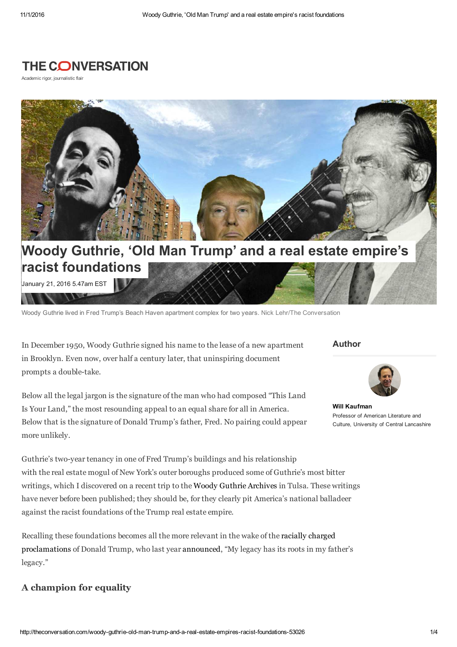# **THE CONVERSATION**

Academic rigor, journalistic flair



January 21, 2016 5.47am EST

Woody Guthrie lived in Fred Trump's Beach Haven apartment complex for two years. Nick Lehr/The Conversation

In December 1950, Woody Guthrie signed his name to the lease of a new apartment in Brooklyn. Even now, over half a century later, that uninspiring document prompts a double-take.

Below all the legal jargon is the signature of the man who had composed "This Land Is Your Land," the most resounding appeal to an equal share for all in America. Below that is the signature of Donald Trump's father, Fred. No pairing could appear more unlikely.

#### **Author**



**Will Kaufman** Professor of American Literature and Culture, University of Central Lancashire

Guthrie's two-year tenancy in one of Fred Trump's buildings and his relationship with the real estate mogul of New York's outer boroughs produced some of Guthrie's most bitter writings, which I discovered on a recent trip to the Woody Guthrie Archives in Tulsa. These writings have never before been published; they should be, for they clearly pit America's national balladeer against the racist foundations of the Trump real estate empire.

Recalling these foundations becomes all the more relevant in the wake of the racially charged proclamations of Donald Trump, who last year announced, "My legacy has its roots in my father's legacy."

### **A champion for equality**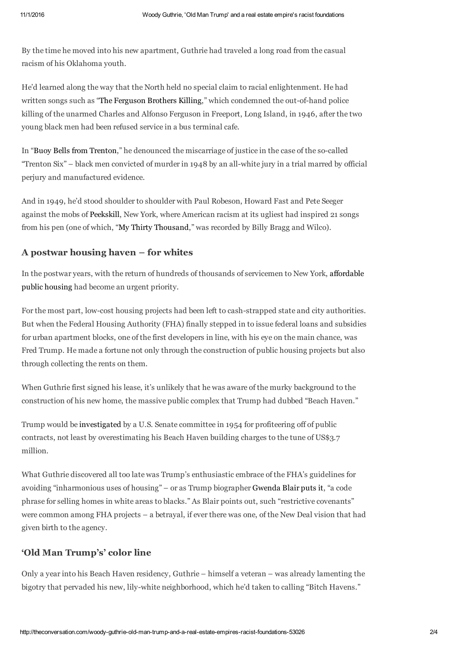By the time he moved into his new apartment, Guthrie had traveled a long road from the casual racism of his Oklahoma youth.

He'd learned along the way that the North held no special claim to racial enlightenment. He had written songs such as "The Ferguson Brothers Killing," which condemned the out-of-hand police killing of the unarmed Charles and Alfonso Ferguson in Freeport, Long Island, in 1946, after the two young black men had been refused service in a bus terminal cafe.

In "Buoy Bells from Trenton," he denounced the miscarriage of justice in the case of the so-called "Trenton Six" – black men convicted of murder in 1948 by an all-white jury in a trial marred by official perjury and manufactured evidence.

And in 1949, he'd stood shoulder to shoulder with Paul Robeson, Howard Fast and Pete Seeger against the mobs of Peekskill, New York, where American racism at its ugliest had inspired 21 songs from his pen (one of which, "My Thirty Thousand," was recorded by Billy Bragg and Wilco).

#### **A postwar housing haven – for whites**

In the postwar years, with the return of hundreds of thousands of servicemen to New York, affordable public housing had become an urgent priority.

For the most part, low-cost housing projects had been left to cash-strapped state and city authorities. But when the Federal Housing Authority (FHA) finally stepped in to issue federal loans and subsidies for urban apartment blocks, one of the first developers in line, with his eye on the main chance, was Fred Trump. He made a fortune not only through the construction of public housing projects but also through collecting the rents on them.

When Guthrie first signed his lease, it's unlikely that he was aware of the murky background to the construction of his new home, the massive public complex that Trump had dubbed "Beach Haven."

Trump would be investigated by a U.S. Senate committee in 1954 for profiteering off of public contracts, not least by overestimating his Beach Haven building charges to the tune of US\$3.7 million.

What Guthrie discovered all too late was Trump's enthusiastic embrace of the FHA's guidelines for avoiding "inharmonious uses of housing" – or as Trump biographer Gwenda Blair puts it, "a code phrase for selling homes in white areas to blacks." As Blair points out, such "restrictive covenants" were common among FHA projects – a betrayal, if ever there was one, of the New Deal vision that had given birth to the agency.

## **'Old Man Trump's' color line**

Only a year into his Beach Haven residency, Guthrie – himself a veteran – was already lamenting the bigotry that pervaded his new, lily-white neighborhood, which he'd taken to calling "Bitch Havens."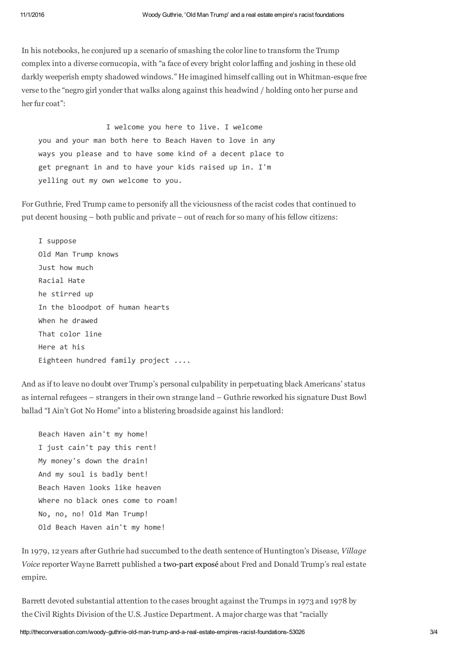In his notebooks, he conjured up a scenario of smashing the color line to transform the Trump complex into a diverse cornucopia, with "a face of every bright color laffing and joshing in these old darkly weeperish empty shadowed windows." He imagined himself calling out in Whitman-esque free verse to the "negro girl yonder that walks along against this headwind / holding onto her purse and her fur coat":

 I welcome you here to live. I welcome you and your man both here to Beach Haven to love in any ways you please and to have some kind of a decent place to get pregnant in and to have your kids raised up in. I'm yelling out my own welcome to you.

For Guthrie, Fred Trump came to personify all the viciousness of the racist codes that continued to put decent housing – both public and private – out of reach for so many of his fellow citizens:

 I suppose Old Man Trump knows Just how much Racial Hate he stirred up In the bloodpot of human hearts When he drawed That color line Here at his Eighteen hundred family project ....

And as if to leave no doubt over Trump's personal culpability in perpetuating black Americans' status as internal refugees – strangers in their own strange land – Guthrie reworked his signature Dust Bowl ballad "I Ain't Got No Home" into a blistering broadside against his landlord:

```
 Beach Haven ain't my home! 
 I just cain't pay this rent! 
 My money's down the drain! 
 And my soul is badly bent! 
 Beach Haven looks like heaven 
Where no black ones come to roam!
 No, no, no! Old Man Trump! 
 Old Beach Haven ain't my home!
```
In 1979, 12 years after Guthrie had succumbed to the death sentence of Huntington's Disease, *Village Voice* reporter Wayne Barrett published a two-part exposé about Fred and Donald Trump's real estate empire.

Barrett devoted substantial attention to the cases brought against the Trumps in 1973 and 1978 by the Civil Rights Division of the U.S. Justice Department. A major charge was that "racially